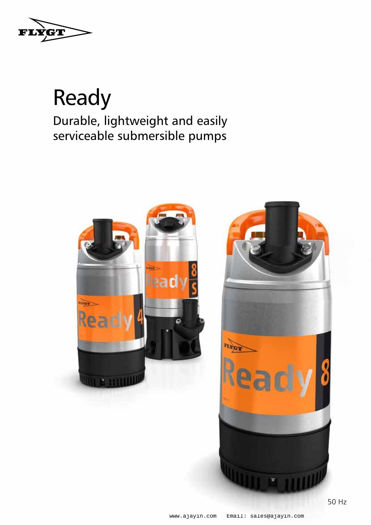

### Ready Durable, lightweight and easily serviceable submersible pumps

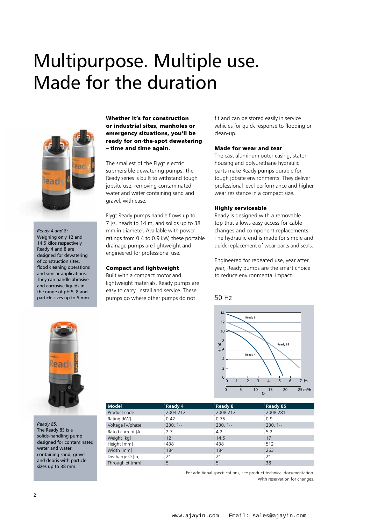## Multipurpose. Multiple use. Made for the duration



*Ready 4 and 8:* Weighing only 12 and 14.5 kilos respectively, Ready 4 and 8 are designed for dewatering of construction sites, flood cleaning operations and similar applications. They can handle abrasive and corrosive liquids in the range of pH 5–8 and particle sizes up to 5 mm.

Whether it's for construction or industrial sites, manholes or emergency situations, you'll be ready for on-the-spot dewatering – time and time again.

The smallest of the Flygt electric submersible dewatering pumps, the Ready series is built to withstand tough jobsite use, removing contaminated water and water containing sand and gravel, with ease.

Flygt Ready pumps handle flows up to 7 l/s, heads to 14 m, and solids up to 38 mm in diameter. Available with power ratings from 0.4 to 0.9 kW, these portable drainage pumps are lightweight and engineered for professional use.

#### Compact and lightweight

Built with a compact motor and lightweight materials, Ready pumps are easy to carry, install and service. These pumps go where other pumps do not

fit and can be stored easily in service vehicles for quick response to flooding or clean-up.

#### Made for wear and tear

The cast aluminum outer casing, stator housing and polyurethane hydraulic parts make Ready pumps durable for tough jobsite environments. They deliver professional level performance and higher wear resistance in a compact size.

#### Highly serviceable

Ready is designed with a removable top that allows easy access for cable changes and component replacements. The hydraulic end is made for simple and quick replacement of wear parts and seals.

Engineered for repeated use, year after year, Ready pumps are the smart choice to reduce environmental impact.

#### 50 Hz





*Ready 8S:* The Ready 8S is a solids-handling pump designed for contaminated water and water containing sand, gravel and debris with particle sizes up to 38 mm.

| <b>Model</b>      | $\frac{1}{2}$ Ready 4 | Ready 8   | Ready 8S  |
|-------------------|-----------------------|-----------|-----------|
| Product code      | 2004.212              | 2008.212  | 2008.281  |
| Rating [kW]       | 0.42                  | 0.75      | 0.9       |
| Voltage [V/phase] | 230, $1-$             | 230, $1-$ | 230, $1-$ |
| Rated current [A] | 2.7                   | 4.2       | 5.2       |
| Weight [kg]       | 12                    | 14.5      | 17        |
| Height [mm]       | 438                   | 438       | 512       |
| Width [mm]        | 184                   | 184       | 263       |
| Discharge Ø [in]  | フ"                    | 2"        | 2"        |
| Throughlet [mm]   | 5.                    | 5         | 38        |

For additional specifications, see product technical documentation. With reservation for changes.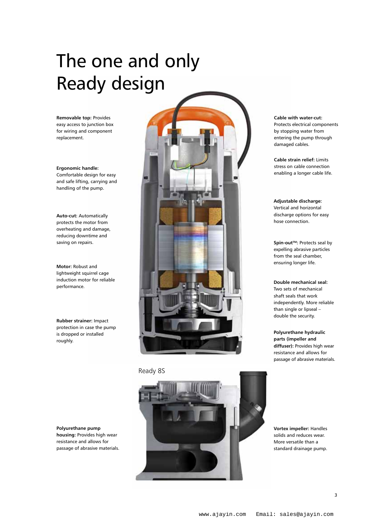# The one and only Ready design

**Removable top:** Provides easy access to junction box for wiring and component replacement.

**Ergonomic handle:**  Comfortable design for easy and safe lifting, carrying and handling of the pump.

**Auto-cut:** Automatically protects the motor from overheating and damage, reducing downtime and

**Motor:** Robust and lightweight squirrel cage induction motor for reliable performance.

**Rubber strainer:** Impact protection in case the pump is dropped or installed roughly.

**Polyurethane pump housing:** Provides high wear resistance and allows for passage of abrasive materials.



Ready 8S



**Cable with water-cut:**  Protects electrical components by stopping water from entering the pump through damaged cables.

**Cable strain relief:** Limits stress on cable connection enabling a longer cable life.

**Adjustable discharge:**  Vertical and horizontal discharge options for easy hose connection.

expelling abrasive particles from the seal chamber, ensuring longer life.

**Double mechanical seal:**  Two sets of mechanical shaft seals that work independently. More reliable than single or lipseal – double the security.

**Polyurethane hydraulic parts (impeller and diffuser):** Provides high wear resistance and allows for passage of abrasive materials.

**Vortex impeller:** Handles solids and reduces wear. More versatile than a standard drainage pump.